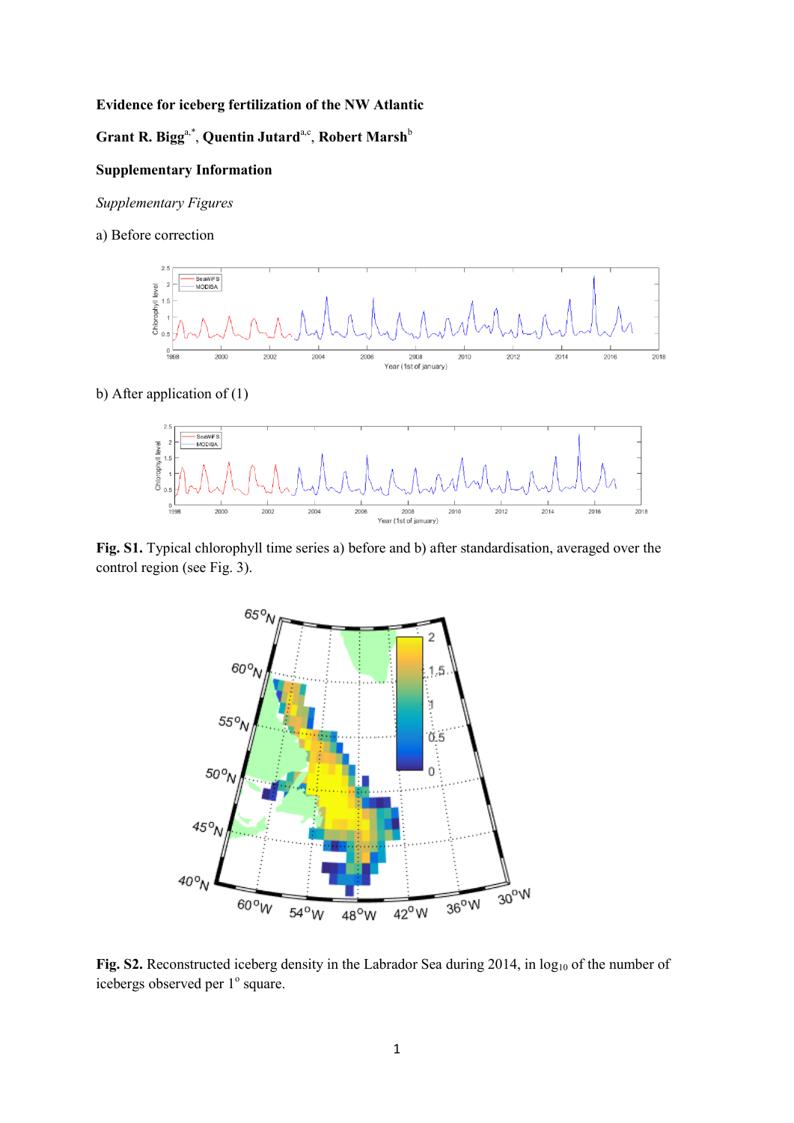## **Evidence for iceberg fertilization of the NW Atlantic**

## $\mathbf{G}$ rant R. Bigg<sup>a,\*</sup>, Quentin Jutard<sup>a,c</sup>, Robert Marsh<sup>b</sup>

# **Supplementary Information**

*Supplementary Figures*

a) Before correction



## b) After application of (1)



**Fig. S1.** Typical chlorophyll time series a) before and b) after standardisation, averaged over the control region (see Fig. 3).



Fig. S2. Reconstructed iceberg density in the Labrador Sea during 2014, in log<sub>10</sub> of the number of icebergs observed per 1° square.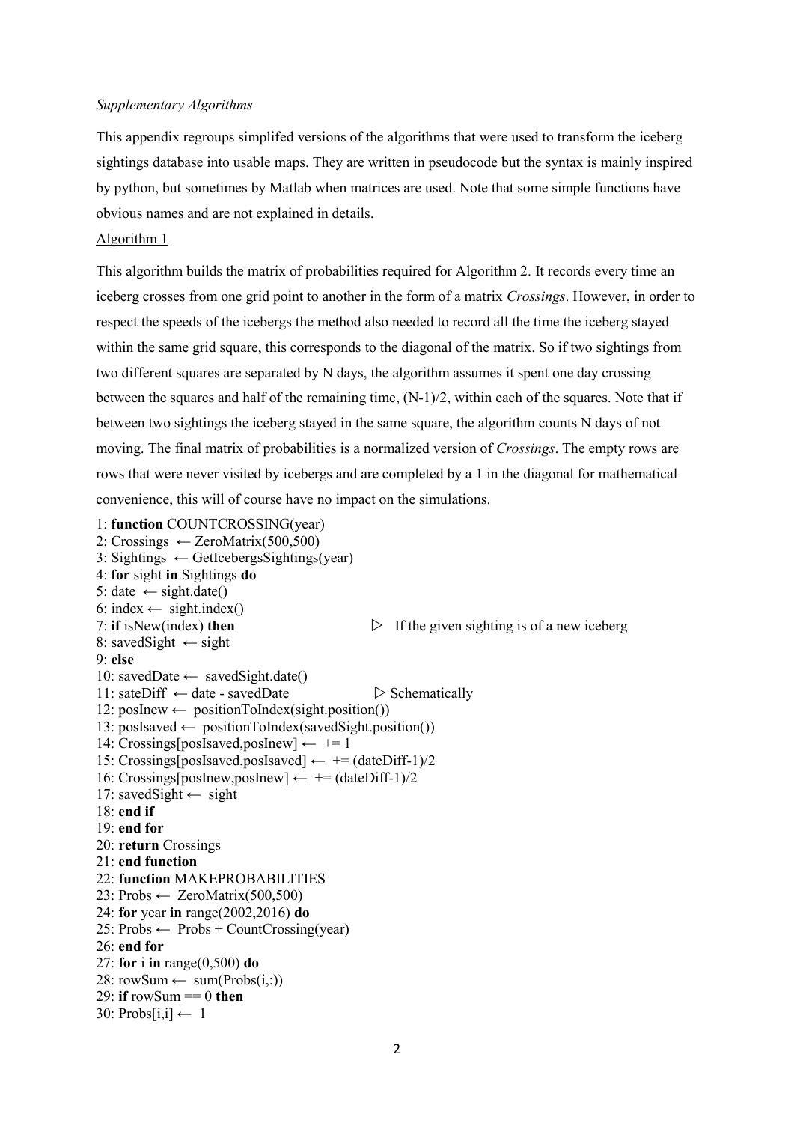#### *Supplementary Algorithms*

This appendix regroups simplifed versions of the algorithms that were used to transform the iceberg sightings database into usable maps. They are written in pseudocode but the syntax is mainly inspired by python, but sometimes by Matlab when matrices are used. Note that some simple functions have obvious names and are not explained in details.

### Algorithm 1

This algorithm builds the matrix of probabilities required for Algorithm 2. It records every time an iceberg crosses from one grid point to another in the form of a matrix *Crossings*. However, in order to respect the speeds of the icebergs the method also needed to record all the time the iceberg stayed within the same grid square, this corresponds to the diagonal of the matrix. So if two sightings from two different squares are separated by N days, the algorithm assumes it spent one day crossing between the squares and half of the remaining time, (N-1)/2, within each of the squares. Note that if between two sightings the iceberg stayed in the same square, the algorithm counts N days of not moving. The final matrix of probabilities is a normalized version of *Crossings*. The empty rows are rows that were never visited by icebergs and are completed by a 1 in the diagonal for mathematical convenience, this will of course have no impact on the simulations.

1: **function** COUNTCROSSING(year) 2: Crossings  $\leftarrow$  ZeroMatrix(500,500)

```
3: Sightings \leftarrow GetIcebergsSightings(year)
4: for sight in Sightings do
5: date \leftarrow sight.date()
6: index \leftarrow sight.index()
7: if isNew(index) then \triangleright If the given sighting is of a new iceberg
8: savedSight \leftarrow sight
9: else
10: savedDate ← savedSight.date()
11: sateDiff \leftarrow date - savedDate \triangleright Schematically
12: posInew ← positionToIndex(sight.position())
13: posIsaved ← positionToIndex(savedSight.position())
14: Crossings[posIsaved,posInew] \leftarrow += 1
15: Crossings[posIsaved,posIsaved] \leftarrow += (dateDiff-1)/2
16: Crossings[posInew,posInew] \leftarrow += (dateDiff-1)/2
17: savedSight ← sight
18: end if
19: end for
20: return Crossings
21: end function
22: function MAKEPROBABILITIES
23: Probs \leftarrow ZeroMatrix(500, 500)24: for year in range(2002,2016) do
25: Probs \leftarrow Probs + CountCrossing(year)26: end for
27: for i in range(0,500) do
28: rowSum \leftarrow sum(Probs(i,:))29: if rowSum == 0 then
30: Probs[i,i] \leftarrow 1
```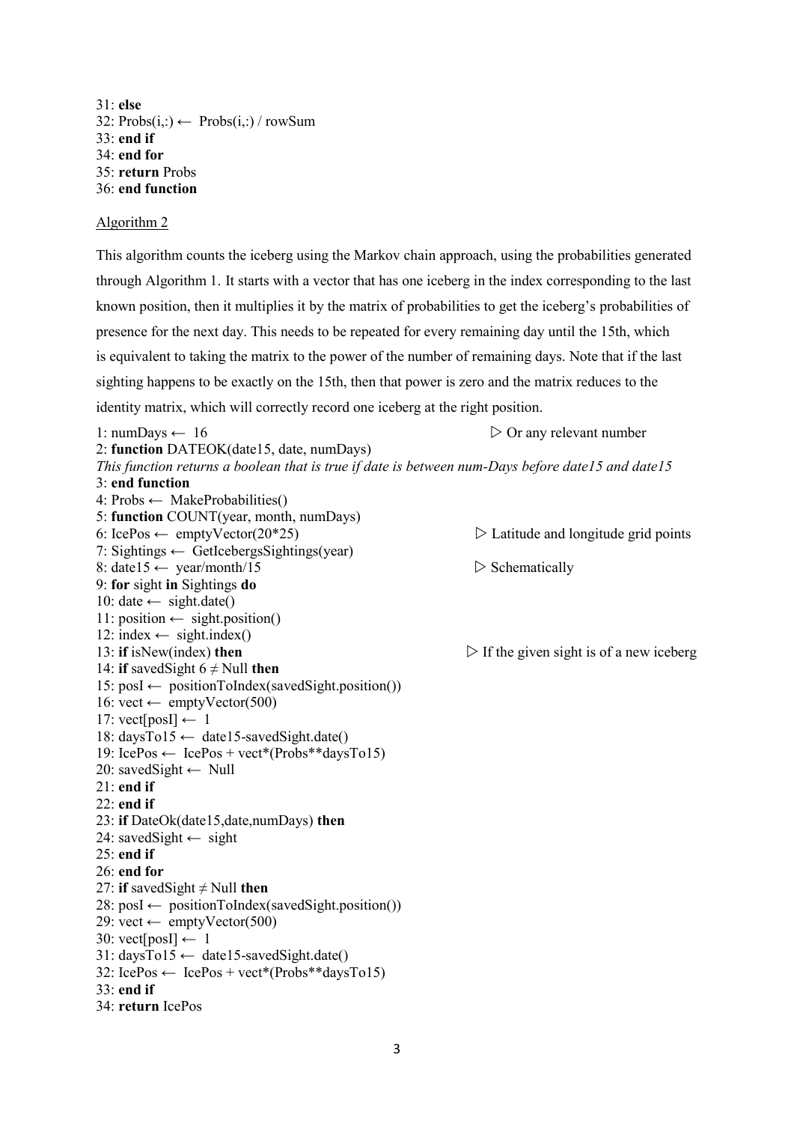31: **else** 32:  $\text{Probs}(i,:) \leftarrow \text{Probs}(i,:) / \text{rowSum}$ 33: **end if** 34: **end for** 35: **return** Probs 36: **end function**

### Algorithm 2

This algorithm counts the iceberg using the Markov chain approach, using the probabilities generated through Algorithm 1. It starts with a vector that has one iceberg in the index corresponding to the last known position, then it multiplies it by the matrix of probabilities to get the iceberg's probabilities of presence for the next day. This needs to be repeated for every remaining day until the 15th, which is equivalent to taking the matrix to the power of the number of remaining days. Note that if the last sighting happens to be exactly on the 15th, then that power is zero and the matrix reduces to the identity matrix, which will correctly record one iceberg at the right position.

1: numDays  $\leftarrow$  16  $\triangleright$  Or any relevant number 2: **function** DATEOK(date15, date, numDays) *This function returns a boolean that is true if date is between num-Days before date15 and date15* 3: **end function** 4: Probs ← MakeProbabilities() 5: **function** COUNT(year, month, numDays) 6: IcePos ← emptyVector(20\*25)  $\triangleright$  Latitude and longitude grid points 7: Sightings  $\leftarrow$  GetIcebergsSightings(year) 8: date15  $\leftarrow$  year/month/15  $\triangleright$  Schematically 9: **for** sight **in** Sightings **do** 10: date  $\leftarrow$  sight.date() 11: position  $\leftarrow$  sight.position() 12: index  $\leftarrow$  sight.index() 13: **if** isNew(index) **then**  $\triangleright$  **If** the given sight is of a new iceberg 14: **if** savedSight  $6 \neq$  Null **then**  $15: posI \leftarrow positionToIndex(savedSignt, position())$ 16: vect ← emptyVector(500) 17: vect[posI]  $\leftarrow$  1 18: daysTo15 ← date15-savedSight.date() 19: IcePos  $\leftarrow$  IcePos + vect\*(Probs\*\*daysTo15) 20: savedSight ← Null 21: **end if** 22: **end if** 23: **if** DateOk(date15,date,numDays) **then** 24: savedSight  $\leftarrow$  sight 25: **end if** 26: **end for** 27: **if** savedSight  $\neq$  Null **then**  $28: \text{posI} \leftarrow \text{positionToIndex(savedSignt, position())}$ 29: vect  $\leftarrow$  emptyVector(500) 30: vect[posI]  $\leftarrow$  1  $31: daysTo15 \leftarrow date15-savedSight.dat()$  $32: \text{LeePos} \leftarrow \text{LeePos} + \text{vect}^*(\text{Probs}^{**}davsTo15)$ 33: **end if** 34: **return** IcePos